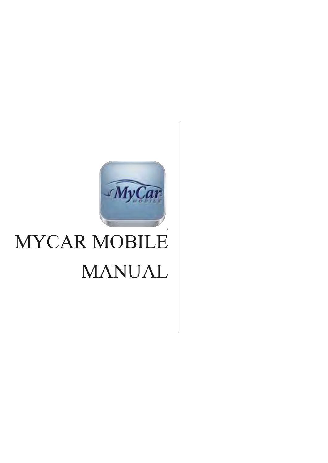

# MYCAR MOBILE MANUAL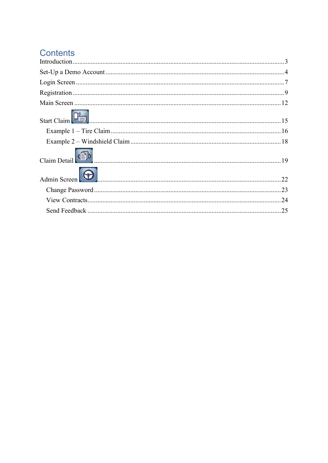## Contents

| Start Claim $\begin{bmatrix} 1 & 1 \\ 1 & 2 \end{bmatrix}$ |     |
|------------------------------------------------------------|-----|
|                                                            |     |
|                                                            |     |
| Claim Detail ( 19                                          |     |
| Admin Screen <b>Communication</b>                          | .22 |
|                                                            |     |
|                                                            |     |
|                                                            | 25  |
|                                                            |     |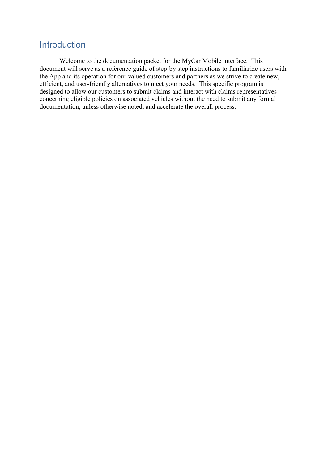### <span id="page-2-0"></span>**Introduction**

 Welcome to the documentation packet for the MyCar Mobile interface. This document will serve as a reference guide of step-by step instructions to familiarize users with the App and its operation for our valued customers and partners as we strive to create new, efficient, and user-friendly alternatives to meet your needs. This specific program is designed to allow our customers to submit claims and interact with claims representatives concerning eligible policies on associated vehicles without the need to submit any formal documentation, unless otherwise noted, and accelerate the overall process.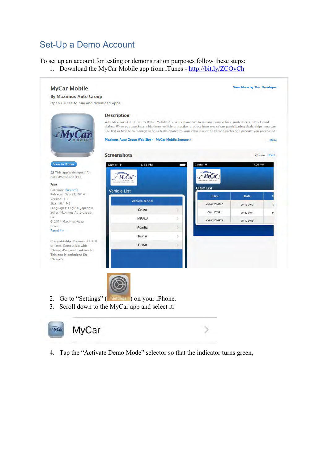## <span id="page-3-0"></span>Set-Up a Demo Account

To set up an account for testing or demonstration purposes follow these steps:

1. Download the MyCar Mobile app from iTunes -<http://bit.ly/ZCOvCh>





4. Tap the "Activate Demo Mode" selector so that the indicator turns green,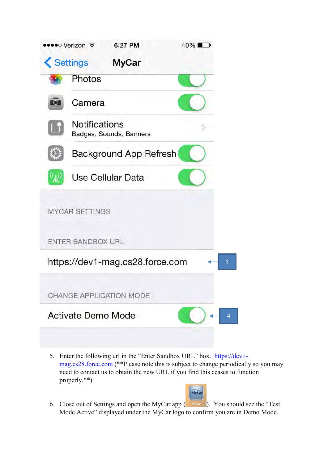

5. Enter the following url in the "Enter Sandbox URL" box. [https://dev1](https://dev1-mag.cs28.force.com/) [mag.cs28.force.com](https://dev1-mag.cs28.force.com/) (\*\*Please note this is subject to change periodically so you may need to contact us to obtain the new URL if you find this ceases to function properly.\*\*)



6. Close out of Settings and open the MyCar app  $($  MyCar  $)$ . You should see the "Test" Mode Active" displayed under the MyCar logo to confirm you are in Demo Mode.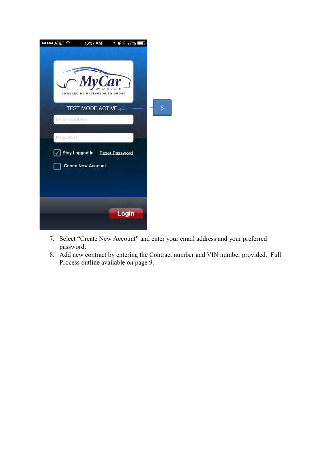

- 7. Select "Create New Account" and enter your email address and your preferred password.
- 8. Add new contract by entering the Contract number and VIN number provided. Full Process outline available on page 9.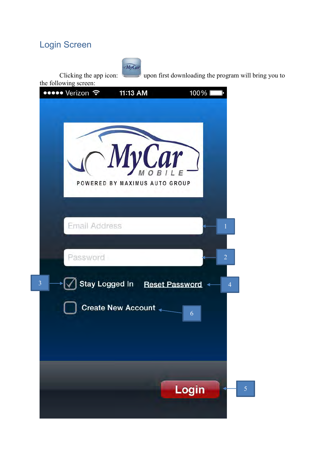## <span id="page-6-0"></span>Login Screen



Clicking the app icon: upon first downloading the program will bring you to

the following screen:

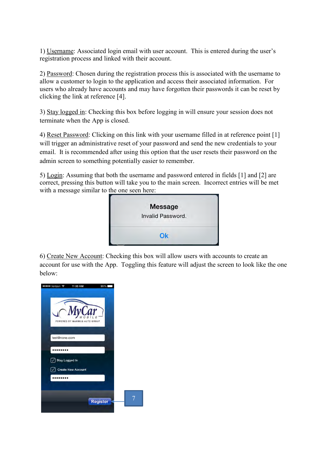1) Username: Associated login email with user account. This is entered during the user's registration process and linked with their account.

2) Password: Chosen during the registration process this is associated with the username to allow a customer to login to the application and access their associated information. For users who already have accounts and may have forgotten their passwords it can be reset by clicking the link at reference [4].

3) Stay logged in: Checking this box before logging in will ensure your session does not terminate when the App is closed.

4) Reset Password: Clicking on this link with your username filled in at reference point [1] will trigger an administrative reset of your password and send the new credentials to your email. It is recommended after using this option that the user resets their password on the admin screen to something potentially easier to remember.

5) Login: Assuming that both the username and password entered in fields [1] and [2] are correct, pressing this button will take you to the main screen. Incorrect entries will be met with a message similar to the one seen here:



6) Create New Account: Checking this box will allow users with accounts to create an account for use with the App. Toggling this feature will adjust the screen to look like the one below:

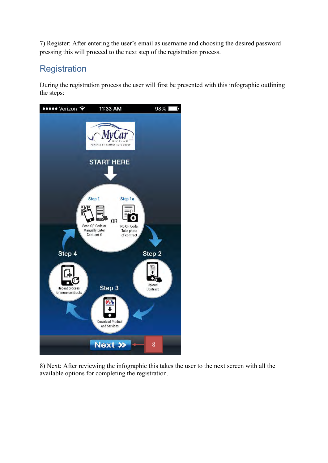7) Register: After entering the user's email as username and choosing the desired password pressing this will proceed to the next step of the registration process.

## <span id="page-8-0"></span>**Registration**

During the registration process the user will first be presented with this infographic outlining the steps:



8) Next: After reviewing the infographic this takes the user to the next screen with all the available options for completing the registration.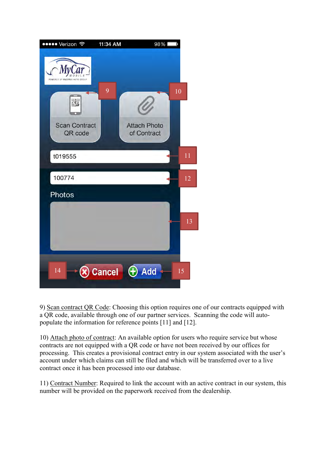

9) Scan contract QR Code: Choosing this option requires one of our contracts equipped with a QR code, available through one of our partner services. Scanning the code will autopopulate the information for reference points [11] and [12].

10) Attach photo of contract: An available option for users who require service but whose contracts are not equipped with a QR code or have not been received by our offices for processing. This creates a provisional contract entry in our system associated with the user's account under which claims can still be filed and which will be transferred over to a live contract once it has been processed into our database.

11) Contract Number: Required to link the account with an active contract in our system, this number will be provided on the paperwork received from the dealership.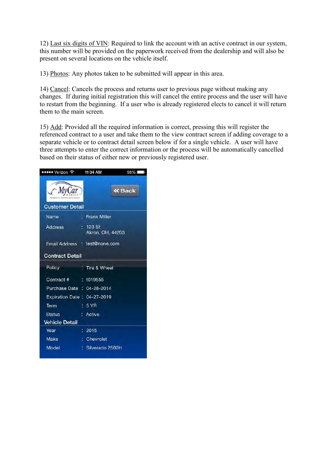12) Last six digits of VIN: Required to link the account with an active contract in our system, this number will be provided on the paperwork received from the dealership and will also be present on several locations on the vehicle itself.

13) Photos: Any photos taken to be submitted will appear in this area.

14) Cancel: Cancels the process and returns user to previous page without making any changes. If during initial registration this will cancel the entire process and the user will have to restart from the beginning. If a user who is already registered elects to cancel it will return them to the main screen.

15) Add: Provided all the required information is correct, pressing this will register the referenced contract to a user and take them to the view contract screen if adding coverage to a separate vehicle or to contract detail screen below if for a single vehicle. A user will have three attempts to enter the correct information or the process will be automatically cancelled based on their status of either new or previously registered user.

| ••••• Verizon 令             | 11:34 AM<br>98%                |
|-----------------------------|--------------------------------|
| <b>Customer Detail</b>      | <b>« Back</b>                  |
| Name                        | : Frank Miller                 |
| Address                     | $: 123$ St<br>Akron, OH, 44203 |
|                             | Email Address : test@none.com  |
| <b>Contract Detail</b>      |                                |
| Policy                      | : Tire & Wheel                 |
| Contract # : t019555        |                                |
| Purchase Date : 04-28-2014  |                                |
| Expiration Date: 04-27-2019 |                                |
| Term                        | :5YR                           |
| <b>Status</b>               | Active                         |
| <b>Vehicle Detail</b>       |                                |
| Year                        | : 2015                         |
| <b>Make</b>                 | Chevrolet                      |
| Model                       | : Silverado 2500H              |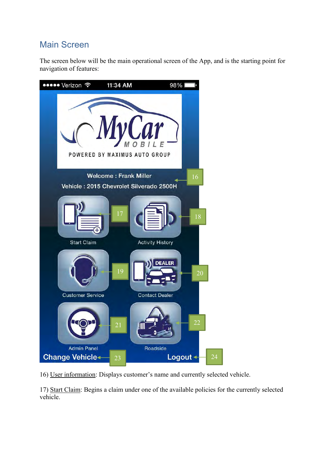## <span id="page-11-0"></span>Main Screen

The screen below will be the main operational screen of the App, and is the starting point for navigation of features:



16) User information: Displays customer's name and currently selected vehicle.

17) Start Claim: Begins a claim under one of the available policies for the currently selected vehicle.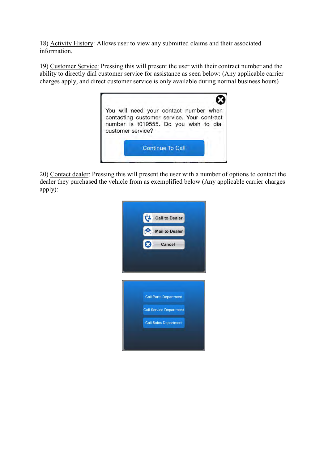18) Activity History: Allows user to view any submitted claims and their associated information.

19) Customer Service: Pressing this will present the user with their contract number and the ability to directly dial customer service for assistance as seen below: (Any applicable carrier charges apply, and direct customer service is only available during normal business hours)



20) Contact dealer: Pressing this will present the user with a number of options to contact the dealer they purchased the vehicle from as exemplified below (Any applicable carrier charges apply):

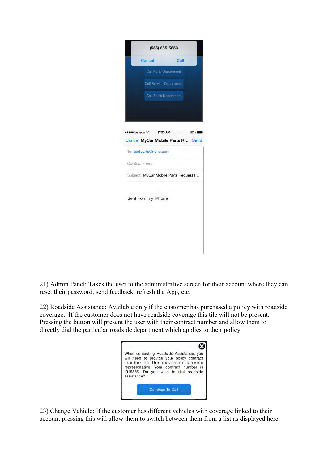| Cancel                         | Call                                  |  |
|--------------------------------|---------------------------------------|--|
| Call Parts Department          |                                       |  |
| <b>Call Service Department</b> |                                       |  |
|                                |                                       |  |
| <b>Call Sales Department</b>   |                                       |  |
|                                |                                       |  |
|                                |                                       |  |
| •••• Verizon 令 11:35 AM        | 98%                                   |  |
|                                | Cancel MyCar Mobile Parts R Send      |  |
| To: testparts@none.com         |                                       |  |
|                                |                                       |  |
| Cc/Bcc, From:                  |                                       |  |
|                                |                                       |  |
|                                | Subject: MyCar Mobile Parts Request f |  |
|                                |                                       |  |
|                                |                                       |  |
| Sent from my iPhone            |                                       |  |
|                                |                                       |  |
|                                |                                       |  |

21) Admin Panel: Takes the user to the administrative screen for their account where they can reset their password, send feedback, refresh the App, etc.

22) Roadside Assistance: Available only if the customer has purchased a policy with roadside coverage. If the customer does not have roadside coverage this tile will not be present. Pressing the button will present the user with their contract number and allow them to directly dial the particular roadside department which applies to their policy.

| assistance? | When contacting Roadside Assistance, you<br>will need to provide your policy contract<br>number to the customer service<br>representative. Your contract number is<br>t019555. Do you wish to dial roadside |
|-------------|-------------------------------------------------------------------------------------------------------------------------------------------------------------------------------------------------------------|
|             | Continue To Call                                                                                                                                                                                            |

23) Change Vehicle: If the customer has different vehicles with coverage linked to their account pressing this will allow them to switch between them from a list as displayed here: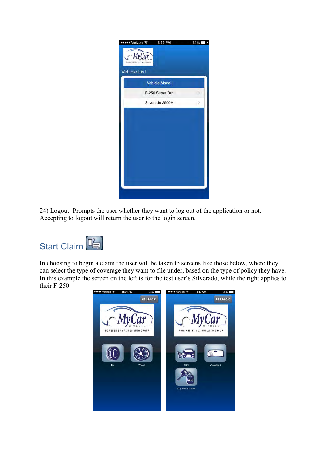| ••••• Verizon 〒     | 3:59 PM              | 62% |
|---------------------|----------------------|-----|
|                     |                      |     |
| <b>Vehicle List</b> |                      |     |
|                     | <b>Vehicle Model</b> |     |
|                     | F-250 Super Dut      |     |
|                     | Silverado 2500H<br>۰ |     |
|                     |                      |     |
|                     |                      |     |
|                     |                      |     |
|                     |                      |     |
|                     |                      |     |
|                     |                      |     |
|                     |                      |     |
|                     |                      |     |
|                     |                      |     |

24) Logout: Prompts the user whether they want to log out of the application or not. Accepting to logout will return the user to the login screen.

<span id="page-14-0"></span>

In choosing to begin a claim the user will be taken to screens like those below, where they can select the type of coverage they want to file under, based on the type of policy they have. In this example the screen on the left is for the test user's Silverado, while the right applies to their F-250:

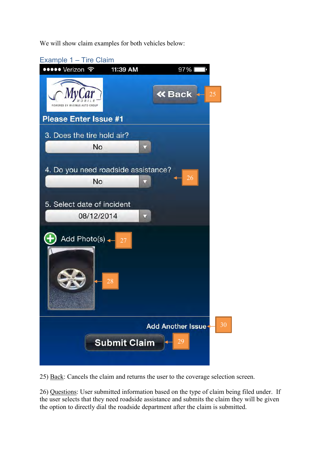We will show claim examples for both vehicles below:

<span id="page-15-0"></span>

25) Back: Cancels the claim and returns the user to the coverage selection screen.

26) Questions: User submitted information based on the type of claim being filed under. If the user selects that they need roadside assistance and submits the claim they will be given the option to directly dial the roadside department after the claim is submitted.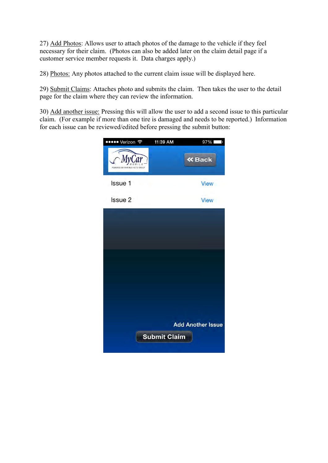27) Add Photos: Allows user to attach photos of the damage to the vehicle if they feel necessary for their claim. (Photos can also be added later on the claim detail page if a customer service member requests it. Data charges apply.)

28) Photos: Any photos attached to the current claim issue will be displayed here.

29) Submit Claims: Attaches photo and submits the claim. Then takes the user to the detail page for the claim where they can review the information.

30) Add another issue: Pressing this will allow the user to add a second issue to this particular claim. (For example if more than one tire is damaged and needs to be reported.) Information for each issue can be reviewed/edited before pressing the submit button:

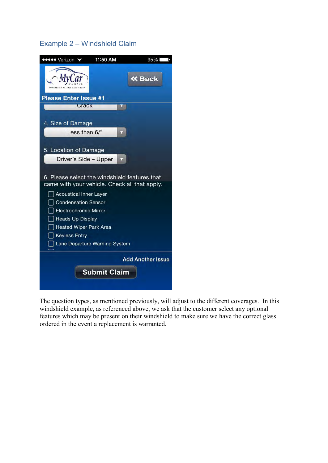#### <span id="page-17-0"></span>Example 2 – Windshield Claim



The question types, as mentioned previously, will adjust to the different coverages. In this windshield example, as referenced above, we ask that the customer select any optional features which may be present on their windshield to make sure we have the correct glass ordered in the event a replacement is warranted.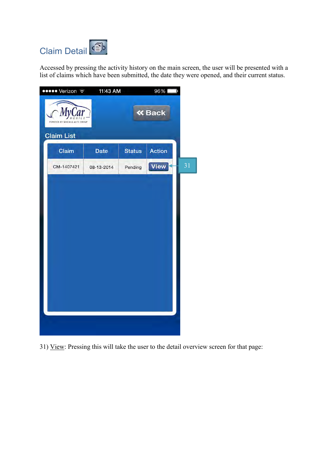<span id="page-18-0"></span>

Accessed by pressing the activity history on the main screen, the user will be presented with a list of claims which have been submitted, the date they were opened, and their current status.



31) View: Pressing this will take the user to the detail overview screen for that page: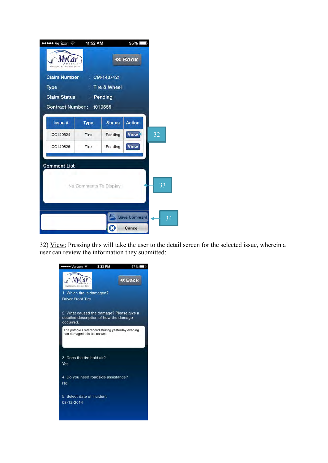| ●●●●● Verizon ←          | 11:52 AM               |                         | 95%                 |                 |
|--------------------------|------------------------|-------------------------|---------------------|-----------------|
|                          |                        |                         | <b>« Back</b>       |                 |
| <b>Claim Number</b>      |                        | CM-1407421              |                     |                 |
| Type                     |                        | <b>Tire &amp; Wheel</b> |                     |                 |
| <b>Claim Status</b>      |                        | : Pending               |                     |                 |
| Contract Number: t019555 |                        |                         |                     |                 |
|                          |                        |                         |                     |                 |
| <b>Issue #</b>           | Type                   | <b>Status</b>           | <b>Action</b>       |                 |
| CC140824                 | Tire                   | Pending                 | View                | 32              |
| CC140825                 | Tire                   | Pending                 | <b>View</b>         |                 |
|                          |                        |                         |                     |                 |
| <b>Comment List</b>      |                        |                         |                     |                 |
|                          |                        |                         |                     |                 |
|                          | No Comments To Display |                         |                     | $\overline{33}$ |
|                          |                        |                         |                     |                 |
|                          |                        |                         |                     |                 |
|                          |                        |                         |                     |                 |
|                          |                        |                         | <b>Save Comment</b> | 34              |
|                          |                        | ×                       | Cancel              |                 |

32) View: Pressing this will take the user to the detail screen for the selected issue, wherein a user can review the information they submitted:

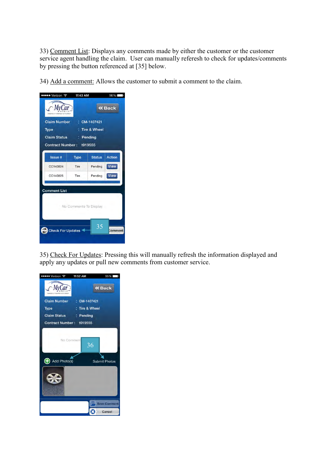33) Comment List: Displays any comments made by either the customer or the customer service agent handling the claim. User can manually referesh to check for updates/comments by pressing the button referenced at [35] below.

34) Add a comment: Allows the customer to submit a comment to the claim.

| ••••• Verizon 〒                           | 11:43 AM    |                         | 96%           |  |
|-------------------------------------------|-------------|-------------------------|---------------|--|
|                                           |             |                         | <b>« Back</b> |  |
| <b>Claim Number</b>                       |             | CM-1407421              |               |  |
| <b>Type</b>                               |             | <b>Tire &amp; Wheel</b> |               |  |
| <b>Claim Status</b>                       |             | : Pending               |               |  |
| Contract Number: t019555                  |             |                         |               |  |
| <b>Issue #</b>                            | <b>Type</b> | <b>Status</b>           | <b>Action</b> |  |
| CC140824                                  | <b>Tire</b> | Pending                 | <b>View</b>   |  |
| CC140825                                  | Tire        | Pending                 | <b>View</b>   |  |
| <b>Comment List</b>                       |             |                         |               |  |
|                                           |             |                         |               |  |
|                                           |             | No Comments To Display  |               |  |
|                                           |             |                         |               |  |
| 35<br><b>Check For Updates</b><br>Comment |             |                         |               |  |
|                                           |             |                         |               |  |

35) Check For Updates: Pressing this will manually refresh the information displayed and apply any updates or pull new comments from customer service.

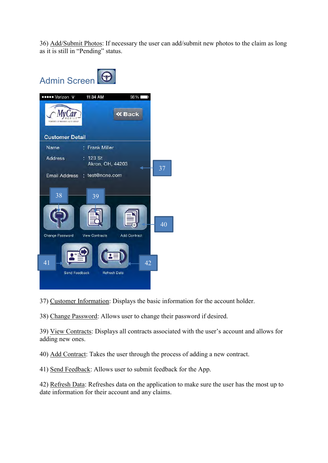36) Add/Submit Photos: If necessary the user can add/submit new photos to the claim as long as it is still in "Pending" status.

<span id="page-21-0"></span>

37) Customer Information: Displays the basic information for the account holder.

38) Change Password: Allows user to change their password if desired.

39) View Contracts: Displays all contracts associated with the user's account and allows for adding new ones.

40) Add Contract: Takes the user through the process of adding a new contract.

41) Send Feedback: Allows user to submit feedback for the App.

42) Refresh Data: Refreshes data on the application to make sure the user has the most up to date information for their account and any claims.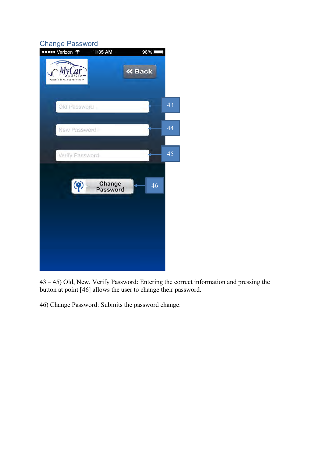#### <span id="page-22-0"></span>Change Password

| . | ••••• Verizon ←               | 11:35 AM           | 98%           | J  |
|---|-------------------------------|--------------------|---------------|----|
|   | POWERED BY MAXIMUS AUTO GROUP |                    | <b>« Back</b> |    |
|   | Old Password                  |                    |               | 43 |
|   | New Password                  |                    |               | 44 |
|   | Verify Password               |                    |               | 45 |
|   | $\bullet$                     | Change<br>Password | 46            |    |
|   |                               |                    |               |    |

43 – 45) Old, New, Verify Password: Entering the correct information and pressing the button at point [46] allows the user to change their password.

46) Change Password: Submits the password change.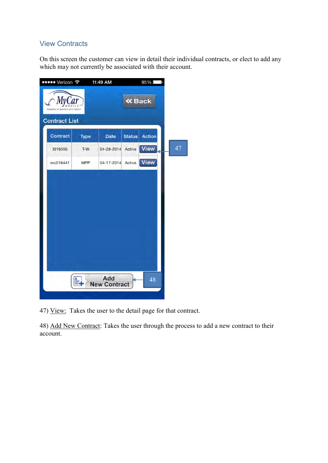#### <span id="page-23-0"></span>View Contracts

On this screen the customer can view in detail their individual contracts, or elect to add any which may not currently be associated with their account.



47) View: Takes the user to the detail page for that contract.

48) Add New Contract: Takes the user through the process to add a new contract to their account.